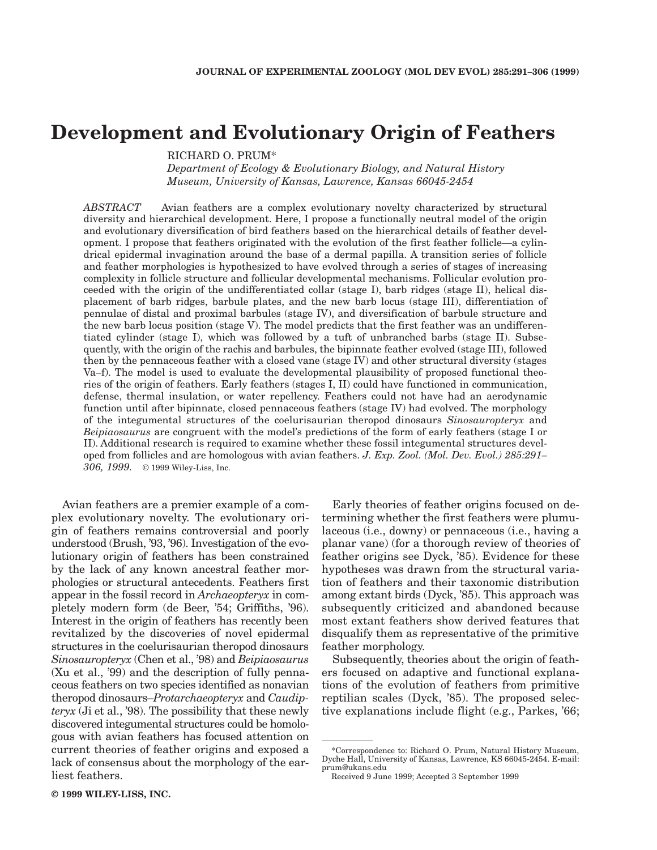# **Development and Evolutionary Origin of Feathers**

RICHARD O. PRUM\*

*Department of Ecology & Evolutionary Biology, and Natural History Museum, University of Kansas, Lawrence, Kansas 66045-2454*

*ABSTRACT* Avian feathers are a complex evolutionary novelty characterized by structural diversity and hierarchical development. Here, I propose a functionally neutral model of the origin and evolutionary diversification of bird feathers based on the hierarchical details of feather development. I propose that feathers originated with the evolution of the first feather follicle—a cylindrical epidermal invagination around the base of a dermal papilla. A transition series of follicle and feather morphologies is hypothesized to have evolved through a series of stages of increasing complexity in follicle structure and follicular developmental mechanisms. Follicular evolution proceeded with the origin of the undifferentiated collar (stage I), barb ridges (stage II), helical displacement of barb ridges, barbule plates, and the new barb locus (stage III), differentiation of pennulae of distal and proximal barbules (stage IV), and diversification of barbule structure and the new barb locus position (stage V). The model predicts that the first feather was an undifferentiated cylinder (stage I), which was followed by a tuft of unbranched barbs (stage II). Subsequently, with the origin of the rachis and barbules, the bipinnate feather evolved (stage III), followed then by the pennaceous feather with a closed vane (stage IV) and other structural diversity (stages Va–f). The model is used to evaluate the developmental plausibility of proposed functional theories of the origin of feathers. Early feathers (stages I, II) could have functioned in communication, defense, thermal insulation, or water repellency. Feathers could not have had an aerodynamic function until after bipinnate, closed pennaceous feathers (stage IV) had evolved. The morphology of the integumental structures of the coelurisaurian theropod dinosaurs *Sinosauropteryx* and *Beipiaosaurus* are congruent with the model's predictions of the form of early feathers (stage I or II). Additional research is required to examine whether these fossil integumental structures developed from follicles and are homologous with avian feathers. *J. Exp. Zool. (Mol. Dev. Evol.) 285:291– 306, 1999.* © 1999 Wiley-Liss, Inc.

Avian feathers are a premier example of a complex evolutionary novelty. The evolutionary origin of feathers remains controversial and poorly understood (Brush, '93, '96). Investigation of the evolutionary origin of feathers has been constrained by the lack of any known ancestral feather morphologies or structural antecedents. Feathers first appear in the fossil record in *Archaeopteryx* in completely modern form (de Beer, '54; Griffiths, '96). Interest in the origin of feathers has recently been revitalized by the discoveries of novel epidermal structures in the coelurisaurian theropod dinosaurs *Sinosauropteryx* (Chen et al., '98) and *Beipiaosaurus* (Xu et al., '99) and the description of fully pennaceous feathers on two species identified as nonavian theropod dinosaurs–*Protarchaeopteryx* and *Caudipteryx* (Ji et al., '98). The possibility that these newly discovered integumental structures could be homologous with avian feathers has focused attention on current theories of feather origins and exposed a lack of consensus about the morphology of the earliest feathers.

Early theories of feather origins focused on determining whether the first feathers were plumulaceous (i.e., downy) or pennaceous (i.e., having a planar vane) (for a thorough review of theories of feather origins see Dyck, '85). Evidence for these hypotheses was drawn from the structural variation of feathers and their taxonomic distribution among extant birds (Dyck, '85). This approach was subsequently criticized and abandoned because most extant feathers show derived features that disqualify them as representative of the primitive feather morphology.

Subsequently, theories about the origin of feathers focused on adaptive and functional explanations of the evolution of feathers from primitive reptilian scales (Dyck, '85). The proposed selective explanations include flight (e.g., Parkes, '66;

<sup>\*</sup>Correspondence to: Richard O. Prum, Natural History Museum, Dyche Hall, University of Kansas, Lawrence, KS 66045-2454. E-mail: prum@ukans.edu

Received 9 June 1999; Accepted 3 September 1999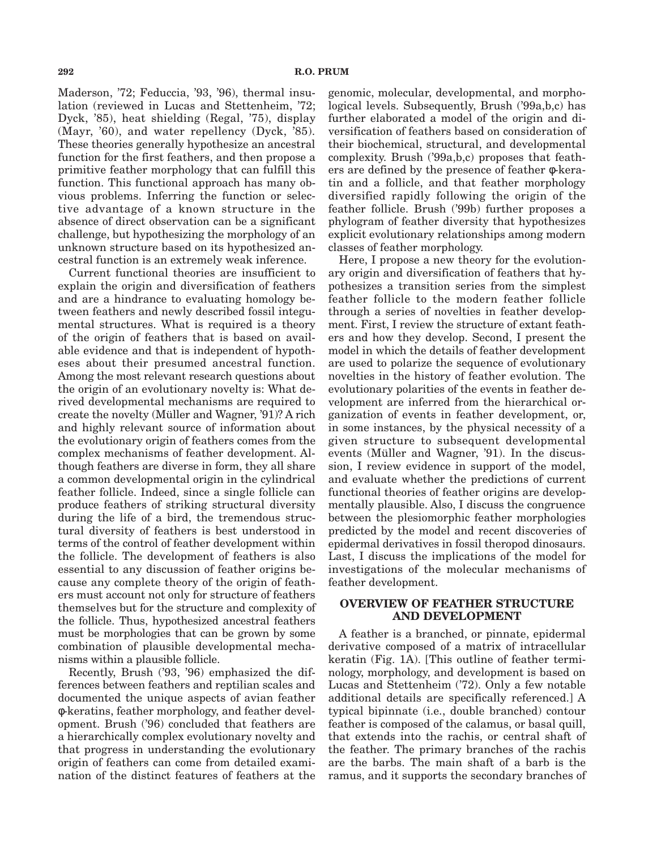Maderson, '72; Feduccia, '93, '96), thermal insulation (reviewed in Lucas and Stettenheim, '72; Dyck, '85), heat shielding (Regal, '75), display (Mayr, '60), and water repellency (Dyck, '85). These theories generally hypothesize an ancestral function for the first feathers, and then propose a primitive feather morphology that can fulfill this function. This functional approach has many obvious problems. Inferring the function or selective advantage of a known structure in the absence of direct observation can be a significant challenge, but hypothesizing the morphology of an unknown structure based on its hypothesized ancestral function is an extremely weak inference.

Current functional theories are insufficient to explain the origin and diversification of feathers and are a hindrance to evaluating homology between feathers and newly described fossil integumental structures. What is required is a theory of the origin of feathers that is based on available evidence and that is independent of hypotheses about their presumed ancestral function. Among the most relevant research questions about the origin of an evolutionary novelty is: What derived developmental mechanisms are required to create the novelty (Müller and Wagner, '91)? A rich and highly relevant source of information about the evolutionary origin of feathers comes from the complex mechanisms of feather development. Although feathers are diverse in form, they all share a common developmental origin in the cylindrical feather follicle. Indeed, since a single follicle can produce feathers of striking structural diversity during the life of a bird, the tremendous structural diversity of feathers is best understood in terms of the control of feather development within the follicle. The development of feathers is also essential to any discussion of feather origins because any complete theory of the origin of feathers must account not only for structure of feathers themselves but for the structure and complexity of the follicle. Thus, hypothesized ancestral feathers must be morphologies that can be grown by some combination of plausible developmental mechanisms within a plausible follicle.

Recently, Brush ('93, '96) emphasized the differences between feathers and reptilian scales and documented the unique aspects of avian feather φ-keratins, feather morphology, and feather development. Brush ('96) concluded that feathers are a hierarchically complex evolutionary novelty and that progress in understanding the evolutionary origin of feathers can come from detailed examination of the distinct features of feathers at the genomic, molecular, developmental, and morphological levels. Subsequently, Brush ('99a,b,c) has further elaborated a model of the origin and diversification of feathers based on consideration of their biochemical, structural, and developmental complexity. Brush ('99a,b,c) proposes that feathers are defined by the presence of feather φ-keratin and a follicle, and that feather morphology diversified rapidly following the origin of the feather follicle. Brush ('99b) further proposes a phylogram of feather diversity that hypothesizes explicit evolutionary relationships among modern classes of feather morphology.

Here, I propose a new theory for the evolutionary origin and diversification of feathers that hypothesizes a transition series from the simplest feather follicle to the modern feather follicle through a series of novelties in feather development. First, I review the structure of extant feathers and how they develop. Second, I present the model in which the details of feather development are used to polarize the sequence of evolutionary novelties in the history of feather evolution. The evolutionary polarities of the events in feather development are inferred from the hierarchical organization of events in feather development, or, in some instances, by the physical necessity of a given structure to subsequent developmental events (Müller and Wagner, '91). In the discussion, I review evidence in support of the model, and evaluate whether the predictions of current functional theories of feather origins are developmentally plausible. Also, I discuss the congruence between the plesiomorphic feather morphologies predicted by the model and recent discoveries of epidermal derivatives in fossil theropod dinosaurs. Last, I discuss the implications of the model for investigations of the molecular mechanisms of feather development.

# **OVERVIEW OF FEATHER STRUCTURE AND DEVELOPMENT**

A feather is a branched, or pinnate, epidermal derivative composed of a matrix of intracellular keratin (Fig. 1A). [This outline of feather terminology, morphology, and development is based on Lucas and Stettenheim ('72). Only a few notable additional details are specifically referenced.] A typical bipinnate (i.e., double branched) contour feather is composed of the calamus, or basal quill, that extends into the rachis, or central shaft of the feather. The primary branches of the rachis are the barbs. The main shaft of a barb is the ramus, and it supports the secondary branches of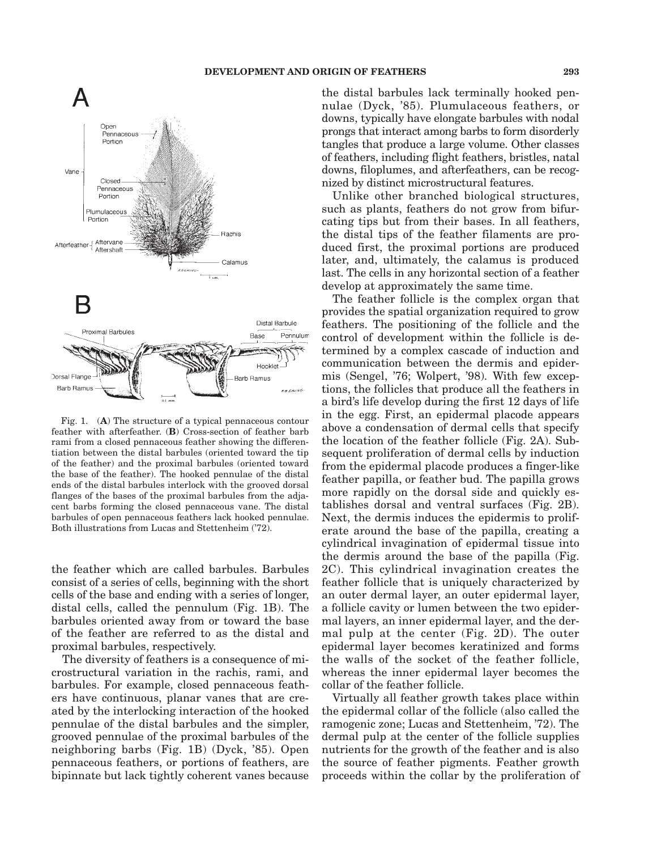

Fig. 1. (**A**) The structure of a typical pennaceous contour feather with afterfeather. (**B**) Cross-section of feather barb rami from a closed pennaceous feather showing the differentiation between the distal barbules (oriented toward the tip of the feather) and the proximal barbules (oriented toward the base of the feather). The hooked pennulae of the distal ends of the distal barbules interlock with the grooved dorsal flanges of the bases of the proximal barbules from the adjacent barbs forming the closed pennaceous vane. The distal barbules of open pennaceous feathers lack hooked pennulae. Both illustrations from Lucas and Stettenheim ('72).

the feather which are called barbules. Barbules consist of a series of cells, beginning with the short cells of the base and ending with a series of longer, distal cells, called the pennulum (Fig. 1B). The barbules oriented away from or toward the base of the feather are referred to as the distal and proximal barbules, respectively.

The diversity of feathers is a consequence of microstructural variation in the rachis, rami, and barbules. For example, closed pennaceous feathers have continuous, planar vanes that are created by the interlocking interaction of the hooked pennulae of the distal barbules and the simpler, grooved pennulae of the proximal barbules of the neighboring barbs (Fig. 1B) (Dyck, '85). Open pennaceous feathers, or portions of feathers, are bipinnate but lack tightly coherent vanes because the distal barbules lack terminally hooked pennulae (Dyck, '85). Plumulaceous feathers, or downs, typically have elongate barbules with nodal prongs that interact among barbs to form disorderly tangles that produce a large volume. Other classes of feathers, including flight feathers, bristles, natal downs, filoplumes, and afterfeathers, can be recognized by distinct microstructural features.

Unlike other branched biological structures, such as plants, feathers do not grow from bifurcating tips but from their bases. In all feathers, the distal tips of the feather filaments are produced first, the proximal portions are produced later, and, ultimately, the calamus is produced last. The cells in any horizontal section of a feather develop at approximately the same time.

The feather follicle is the complex organ that provides the spatial organization required to grow feathers. The positioning of the follicle and the control of development within the follicle is determined by a complex cascade of induction and communication between the dermis and epidermis (Sengel, '76; Wolpert, '98). With few exceptions, the follicles that produce all the feathers in a bird's life develop during the first 12 days of life in the egg. First, an epidermal placode appears above a condensation of dermal cells that specify the location of the feather follicle (Fig. 2A). Subsequent proliferation of dermal cells by induction from the epidermal placode produces a finger-like feather papilla, or feather bud. The papilla grows more rapidly on the dorsal side and quickly establishes dorsal and ventral surfaces (Fig. 2B). Next, the dermis induces the epidermis to proliferate around the base of the papilla, creating a cylindrical invagination of epidermal tissue into the dermis around the base of the papilla (Fig. 2C). This cylindrical invagination creates the feather follicle that is uniquely characterized by an outer dermal layer, an outer epidermal layer, a follicle cavity or lumen between the two epidermal layers, an inner epidermal layer, and the dermal pulp at the center (Fig. 2D). The outer epidermal layer becomes keratinized and forms the walls of the socket of the feather follicle, whereas the inner epidermal layer becomes the collar of the feather follicle.

Virtually all feather growth takes place within the epidermal collar of the follicle (also called the ramogenic zone; Lucas and Stettenheim, '72). The dermal pulp at the center of the follicle supplies nutrients for the growth of the feather and is also the source of feather pigments. Feather growth proceeds within the collar by the proliferation of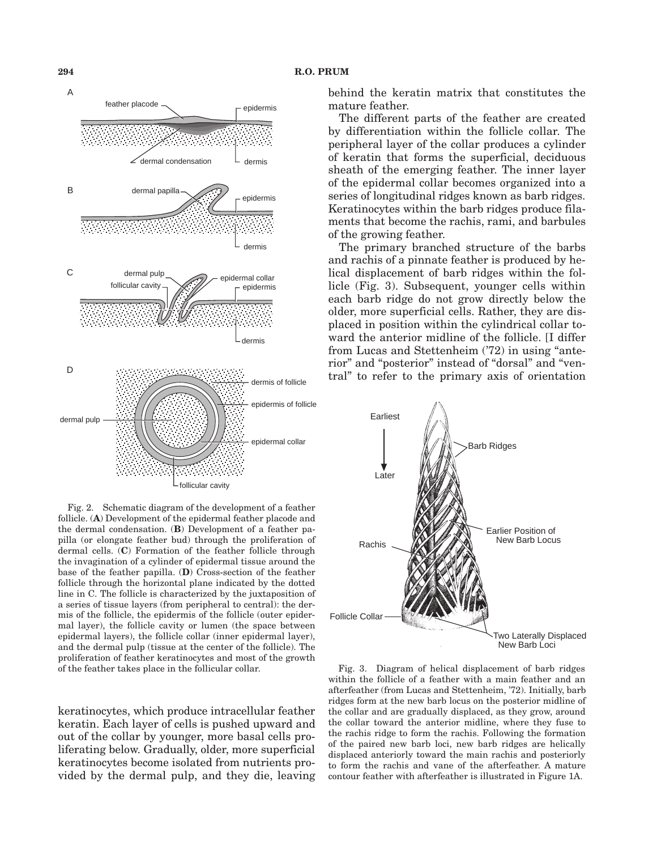



Fig. 2. Schematic diagram of the development of a feather follicle. (**A**) Development of the epidermal feather placode and the dermal condensation. (**B**) Development of a feather papilla (or elongate feather bud) through the proliferation of dermal cells. (**C**) Formation of the feather follicle through the invagination of a cylinder of epidermal tissue around the base of the feather papilla. (**D**) Cross-section of the feather follicle through the horizontal plane indicated by the dotted line in C. The follicle is characterized by the juxtaposition of a series of tissue layers (from peripheral to central): the dermis of the follicle, the epidermis of the follicle (outer epidermal layer), the follicle cavity or lumen (the space between epidermal layers), the follicle collar (inner epidermal layer), and the dermal pulp (tissue at the center of the follicle). The proliferation of feather keratinocytes and most of the growth of the feather takes place in the follicular collar. Fig. 3. Diagram of helical displacement of barb ridges

keratinocytes, which produce intracellular feather keratin. Each layer of cells is pushed upward and out of the collar by younger, more basal cells proliferating below. Gradually, older, more superficial keratinocytes become isolated from nutrients provided by the dermal pulp, and they die, leaving behind the keratin matrix that constitutes the mature feather.

The different parts of the feather are created by differentiation within the follicle collar. The peripheral layer of the collar produces a cylinder of keratin that forms the superficial, deciduous sheath of the emerging feather. The inner layer of the epidermal collar becomes organized into a series of longitudinal ridges known as barb ridges. Keratinocytes within the barb ridges produce filaments that become the rachis, rami, and barbules of the growing feather.

The primary branched structure of the barbs and rachis of a pinnate feather is produced by helical displacement of barb ridges within the follicle (Fig. 3). Subsequent, younger cells within each barb ridge do not grow directly below the older, more superficial cells. Rather, they are displaced in position within the cylindrical collar toward the anterior midline of the follicle. [I differ from Lucas and Stettenheim ('72) in using "anterior" and "posterior" instead of "dorsal" and "ventral" to refer to the primary axis of orientation



within the follicle of a feather with a main feather and an afterfeather (from Lucas and Stettenheim, '72). Initially, barb ridges form at the new barb locus on the posterior midline of the collar and are gradually displaced, as they grow, around the collar toward the anterior midline, where they fuse to the rachis ridge to form the rachis. Following the formation of the paired new barb loci, new barb ridges are helically displaced anteriorly toward the main rachis and posteriorly to form the rachis and vane of the afterfeather. A mature contour feather with afterfeather is illustrated in Figure 1A.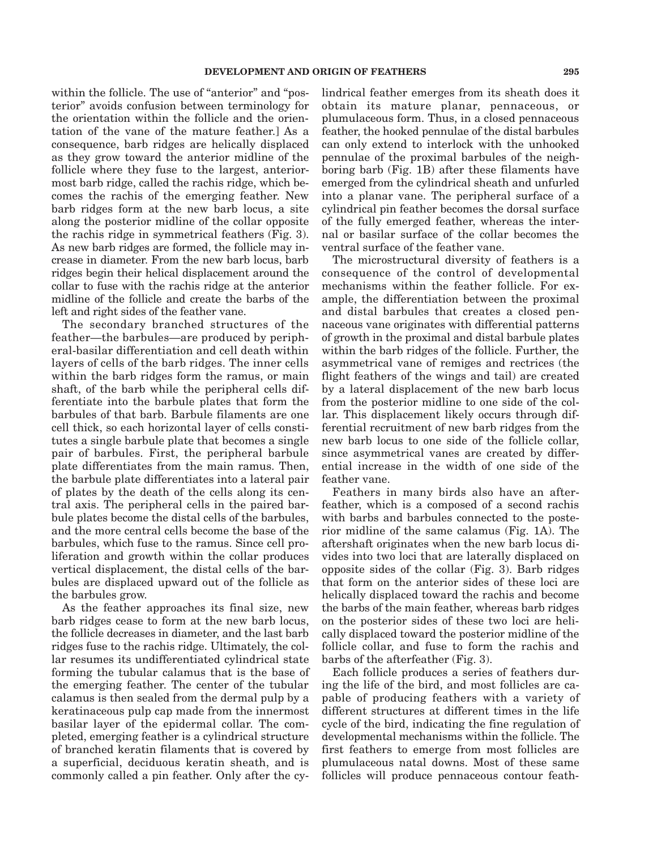within the follicle. The use of "anterior" and "posterior" avoids confusion between terminology for the orientation within the follicle and the orientation of the vane of the mature feather.] As a consequence, barb ridges are helically displaced as they grow toward the anterior midline of the follicle where they fuse to the largest, anteriormost barb ridge, called the rachis ridge, which becomes the rachis of the emerging feather. New barb ridges form at the new barb locus, a site along the posterior midline of the collar opposite the rachis ridge in symmetrical feathers (Fig. 3). As new barb ridges are formed, the follicle may increase in diameter. From the new barb locus, barb ridges begin their helical displacement around the collar to fuse with the rachis ridge at the anterior midline of the follicle and create the barbs of the left and right sides of the feather vane.

The secondary branched structures of the feather—the barbules—are produced by peripheral-basilar differentiation and cell death within layers of cells of the barb ridges. The inner cells within the barb ridges form the ramus, or main shaft, of the barb while the peripheral cells differentiate into the barbule plates that form the barbules of that barb. Barbule filaments are one cell thick, so each horizontal layer of cells constitutes a single barbule plate that becomes a single pair of barbules. First, the peripheral barbule plate differentiates from the main ramus. Then, the barbule plate differentiates into a lateral pair of plates by the death of the cells along its central axis. The peripheral cells in the paired barbule plates become the distal cells of the barbules, and the more central cells become the base of the barbules, which fuse to the ramus. Since cell proliferation and growth within the collar produces vertical displacement, the distal cells of the barbules are displaced upward out of the follicle as the barbules grow.

As the feather approaches its final size, new barb ridges cease to form at the new barb locus, the follicle decreases in diameter, and the last barb ridges fuse to the rachis ridge. Ultimately, the collar resumes its undifferentiated cylindrical state forming the tubular calamus that is the base of the emerging feather. The center of the tubular calamus is then sealed from the dermal pulp by a keratinaceous pulp cap made from the innermost basilar layer of the epidermal collar. The completed, emerging feather is a cylindrical structure of branched keratin filaments that is covered by a superficial, deciduous keratin sheath, and is commonly called a pin feather. Only after the cylindrical feather emerges from its sheath does it obtain its mature planar, pennaceous, or plumulaceous form. Thus, in a closed pennaceous feather, the hooked pennulae of the distal barbules can only extend to interlock with the unhooked pennulae of the proximal barbules of the neighboring barb (Fig. 1B) after these filaments have emerged from the cylindrical sheath and unfurled into a planar vane. The peripheral surface of a cylindrical pin feather becomes the dorsal surface of the fully emerged feather, whereas the internal or basilar surface of the collar becomes the ventral surface of the feather vane.

The microstructural diversity of feathers is a consequence of the control of developmental mechanisms within the feather follicle. For example, the differentiation between the proximal and distal barbules that creates a closed pennaceous vane originates with differential patterns of growth in the proximal and distal barbule plates within the barb ridges of the follicle. Further, the asymmetrical vane of remiges and rectrices (the flight feathers of the wings and tail) are created by a lateral displacement of the new barb locus from the posterior midline to one side of the collar. This displacement likely occurs through differential recruitment of new barb ridges from the new barb locus to one side of the follicle collar, since asymmetrical vanes are created by differential increase in the width of one side of the feather vane.

Feathers in many birds also have an afterfeather, which is a composed of a second rachis with barbs and barbules connected to the posterior midline of the same calamus (Fig. 1A). The aftershaft originates when the new barb locus divides into two loci that are laterally displaced on opposite sides of the collar (Fig. 3). Barb ridges that form on the anterior sides of these loci are helically displaced toward the rachis and become the barbs of the main feather, whereas barb ridges on the posterior sides of these two loci are helically displaced toward the posterior midline of the follicle collar, and fuse to form the rachis and barbs of the afterfeather (Fig. 3).

Each follicle produces a series of feathers during the life of the bird, and most follicles are capable of producing feathers with a variety of different structures at different times in the life cycle of the bird, indicating the fine regulation of developmental mechanisms within the follicle. The first feathers to emerge from most follicles are plumulaceous natal downs. Most of these same follicles will produce pennaceous contour feath-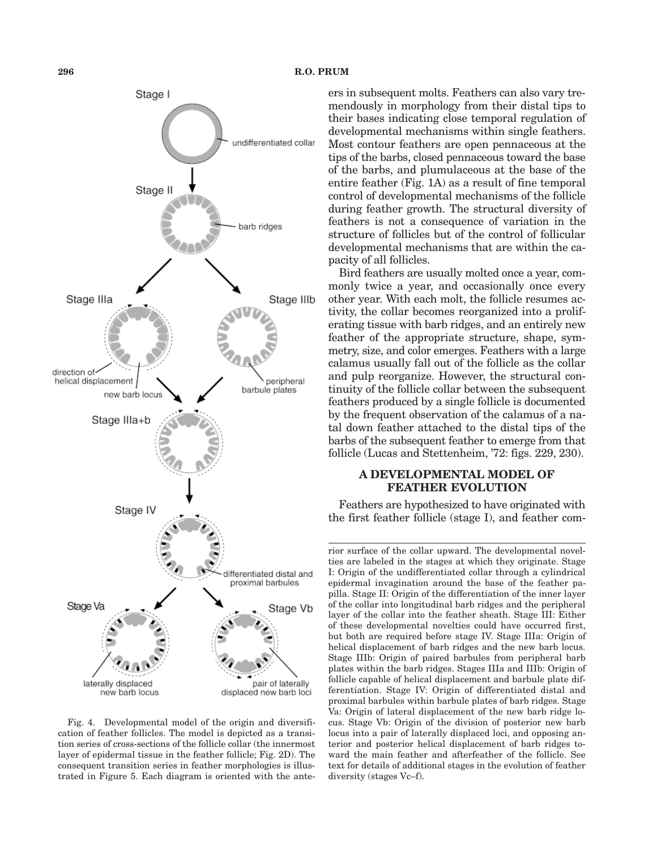

Fig. 4. Developmental model of the origin and diversification of feather follicles. The model is depicted as a transition series of cross-sections of the follicle collar (the innermost layer of epidermal tissue in the feather follicle; Fig. 2D). The consequent transition series in feather morphologies is illustrated in Figure 5. Each diagram is oriented with the ante-

ers in subsequent molts. Feathers can also vary tremendously in morphology from their distal tips to their bases indicating close temporal regulation of developmental mechanisms within single feathers. Most contour feathers are open pennaceous at the tips of the barbs, closed pennaceous toward the base of the barbs, and plumulaceous at the base of the entire feather (Fig. 1A) as a result of fine temporal control of developmental mechanisms of the follicle during feather growth. The structural diversity of feathers is not a consequence of variation in the structure of follicles but of the control of follicular developmental mechanisms that are within the capacity of all follicles.

Bird feathers are usually molted once a year, commonly twice a year, and occasionally once every other year. With each molt, the follicle resumes activity, the collar becomes reorganized into a proliferating tissue with barb ridges, and an entirely new feather of the appropriate structure, shape, symmetry, size, and color emerges. Feathers with a large calamus usually fall out of the follicle as the collar and pulp reorganize. However, the structural continuity of the follicle collar between the subsequent feathers produced by a single follicle is documented by the frequent observation of the calamus of a natal down feather attached to the distal tips of the barbs of the subsequent feather to emerge from that follicle (Lucas and Stettenheim, '72: figs. 229, 230).

# **A DEVELOPMENTAL MODEL OF FEATHER EVOLUTION**

Feathers are hypothesized to have originated with the first feather follicle (stage I), and feather com-

rior surface of the collar upward. The developmental novelties are labeled in the stages at which they originate. Stage I: Origin of the undifferentiated collar through a cylindrical epidermal invagination around the base of the feather papilla. Stage II: Origin of the differentiation of the inner layer of the collar into longitudinal barb ridges and the peripheral layer of the collar into the feather sheath. Stage III: Either of these developmental novelties could have occurred first, but both are required before stage IV. Stage IIIa: Origin of helical displacement of barb ridges and the new barb locus. Stage IIIb: Origin of paired barbules from peripheral barb plates within the barb ridges. Stages IIIa and IIIb: Origin of follicle capable of helical displacement and barbule plate differentiation. Stage IV: Origin of differentiated distal and proximal barbules within barbule plates of barb ridges. Stage Va: Origin of lateral displacement of the new barb ridge locus. Stage Vb: Origin of the division of posterior new barb locus into a pair of laterally displaced loci, and opposing anterior and posterior helical displacement of barb ridges toward the main feather and afterfeather of the follicle. See text for details of additional stages in the evolution of feather diversity (stages Vc–f).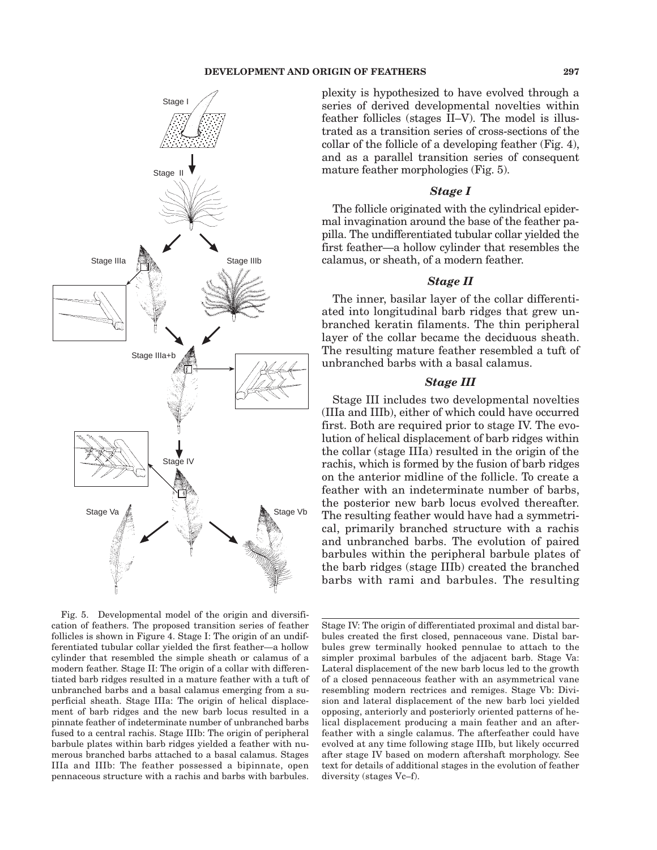

Fig. 5. Developmental model of the origin and diversification of feathers. The proposed transition series of feather follicles is shown in Figure 4. Stage I: The origin of an undifferentiated tubular collar yielded the first feather—a hollow cylinder that resembled the simple sheath or calamus of a modern feather. Stage II: The origin of a collar with differentiated barb ridges resulted in a mature feather with a tuft of unbranched barbs and a basal calamus emerging from a superficial sheath. Stage IIIa: The origin of helical displacement of barb ridges and the new barb locus resulted in a pinnate feather of indeterminate number of unbranched barbs fused to a central rachis. Stage IIIb: The origin of peripheral barbule plates within barb ridges yielded a feather with numerous branched barbs attached to a basal calamus. Stages IIIa and IIIb: The feather possessed a bipinnate, open pennaceous structure with a rachis and barbs with barbules.

plexity is hypothesized to have evolved through a series of derived developmental novelties within feather follicles (stages II–V). The model is illustrated as a transition series of cross-sections of the collar of the follicle of a developing feather (Fig. 4), and as a parallel transition series of consequent mature feather morphologies (Fig. 5).

# *Stage I*

The follicle originated with the cylindrical epidermal invagination around the base of the feather papilla. The undifferentiated tubular collar yielded the first feather—a hollow cylinder that resembles the calamus, or sheath, of a modern feather.

# *Stage II*

The inner, basilar layer of the collar differentiated into longitudinal barb ridges that grew unbranched keratin filaments. The thin peripheral layer of the collar became the deciduous sheath. The resulting mature feather resembled a tuft of unbranched barbs with a basal calamus.

## *Stage III*

Stage III includes two developmental novelties (IIIa and IIIb), either of which could have occurred first. Both are required prior to stage IV. The evolution of helical displacement of barb ridges within the collar (stage IIIa) resulted in the origin of the rachis, which is formed by the fusion of barb ridges on the anterior midline of the follicle. To create a feather with an indeterminate number of barbs, the posterior new barb locus evolved thereafter. The resulting feather would have had a symmetrical, primarily branched structure with a rachis and unbranched barbs. The evolution of paired barbules within the peripheral barbule plates of the barb ridges (stage IIIb) created the branched barbs with rami and barbules. The resulting

Stage IV: The origin of differentiated proximal and distal barbules created the first closed, pennaceous vane. Distal barbules grew terminally hooked pennulae to attach to the simpler proximal barbules of the adjacent barb. Stage Va: Lateral displacement of the new barb locus led to the growth of a closed pennaceous feather with an asymmetrical vane resembling modern rectrices and remiges. Stage Vb: Division and lateral displacement of the new barb loci yielded opposing, anteriorly and posteriorly oriented patterns of helical displacement producing a main feather and an afterfeather with a single calamus. The afterfeather could have evolved at any time following stage IIIb, but likely occurred after stage IV based on modern aftershaft morphology. See text for details of additional stages in the evolution of feather diversity (stages Vc–f).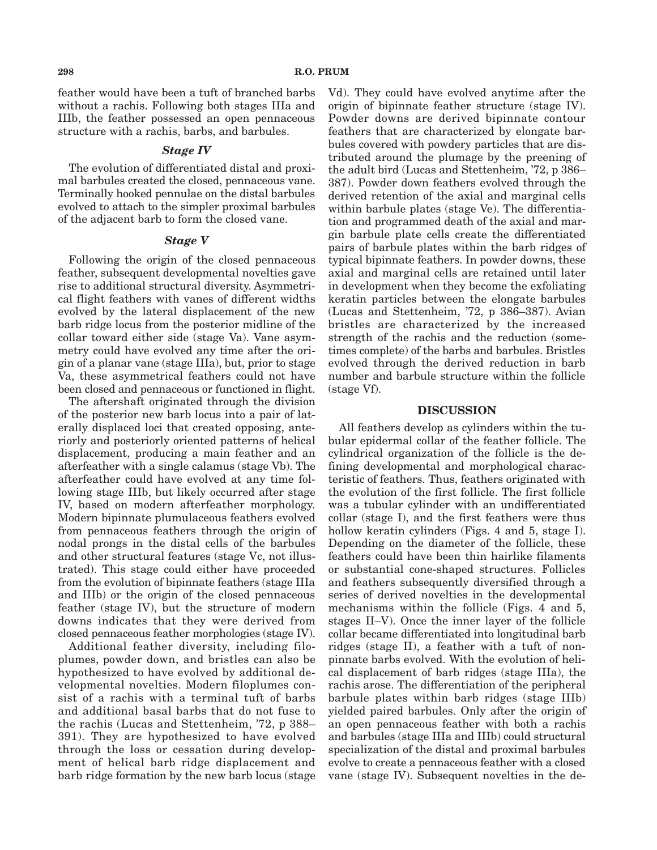feather would have been a tuft of branched barbs without a rachis. Following both stages IIIa and IIIb, the feather possessed an open pennaceous structure with a rachis, barbs, and barbules.

#### *Stage IV*

The evolution of differentiated distal and proximal barbules created the closed, pennaceous vane. Terminally hooked pennulae on the distal barbules evolved to attach to the simpler proximal barbules of the adjacent barb to form the closed vane.

### *Stage V*

Following the origin of the closed pennaceous feather, subsequent developmental novelties gave rise to additional structural diversity. Asymmetrical flight feathers with vanes of different widths evolved by the lateral displacement of the new barb ridge locus from the posterior midline of the collar toward either side (stage Va). Vane asymmetry could have evolved any time after the origin of a planar vane (stage IIIa), but, prior to stage Va, these asymmetrical feathers could not have been closed and pennaceous or functioned in flight.

The aftershaft originated through the division of the posterior new barb locus into a pair of laterally displaced loci that created opposing, anteriorly and posteriorly oriented patterns of helical displacement, producing a main feather and an afterfeather with a single calamus (stage Vb). The afterfeather could have evolved at any time following stage IIIb, but likely occurred after stage IV, based on modern afterfeather morphology. Modern bipinnate plumulaceous feathers evolved from pennaceous feathers through the origin of nodal prongs in the distal cells of the barbules and other structural features (stage Vc, not illustrated). This stage could either have proceeded from the evolution of bipinnate feathers (stage IIIa and IIIb) or the origin of the closed pennaceous feather (stage IV), but the structure of modern downs indicates that they were derived from closed pennaceous feather morphologies (stage IV).

Additional feather diversity, including filoplumes, powder down, and bristles can also be hypothesized to have evolved by additional developmental novelties. Modern filoplumes consist of a rachis with a terminal tuft of barbs and additional basal barbs that do not fuse to the rachis (Lucas and Stettenheim, '72, p 388– 391). They are hypothesized to have evolved through the loss or cessation during development of helical barb ridge displacement and barb ridge formation by the new barb locus (stage Vd). They could have evolved anytime after the origin of bipinnate feather structure (stage IV). Powder downs are derived bipinnate contour feathers that are characterized by elongate barbules covered with powdery particles that are distributed around the plumage by the preening of the adult bird (Lucas and Stettenheim, '72, p 386– 387). Powder down feathers evolved through the derived retention of the axial and marginal cells within barbule plates (stage Ve). The differentiation and programmed death of the axial and margin barbule plate cells create the differentiated pairs of barbule plates within the barb ridges of typical bipinnate feathers. In powder downs, these axial and marginal cells are retained until later in development when they become the exfoliating keratin particles between the elongate barbules (Lucas and Stettenheim, '72, p 386–387). Avian bristles are characterized by the increased strength of the rachis and the reduction (sometimes complete) of the barbs and barbules. Bristles evolved through the derived reduction in barb number and barbule structure within the follicle (stage Vf).

#### **DISCUSSION**

All feathers develop as cylinders within the tubular epidermal collar of the feather follicle. The cylindrical organization of the follicle is the defining developmental and morphological characteristic of feathers. Thus, feathers originated with the evolution of the first follicle. The first follicle was a tubular cylinder with an undifferentiated collar (stage I), and the first feathers were thus hollow keratin cylinders (Figs. 4 and 5, stage I). Depending on the diameter of the follicle, these feathers could have been thin hairlike filaments or substantial cone-shaped structures. Follicles and feathers subsequently diversified through a series of derived novelties in the developmental mechanisms within the follicle (Figs. 4 and 5, stages II–V). Once the inner layer of the follicle collar became differentiated into longitudinal barb ridges (stage II), a feather with a tuft of nonpinnate barbs evolved. With the evolution of helical displacement of barb ridges (stage IIIa), the rachis arose. The differentiation of the peripheral barbule plates within barb ridges (stage IIIb) yielded paired barbules. Only after the origin of an open pennaceous feather with both a rachis and barbules (stage IIIa and IIIb) could structural specialization of the distal and proximal barbules evolve to create a pennaceous feather with a closed vane (stage IV). Subsequent novelties in the de-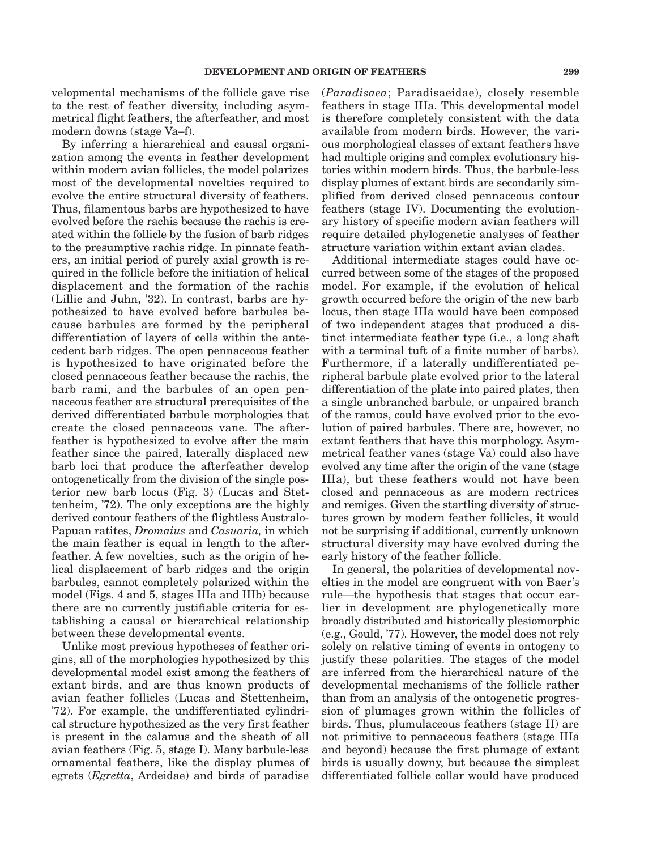velopmental mechanisms of the follicle gave rise to the rest of feather diversity, including asymmetrical flight feathers, the afterfeather, and most modern downs (stage Va–f).

By inferring a hierarchical and causal organization among the events in feather development within modern avian follicles, the model polarizes most of the developmental novelties required to evolve the entire structural diversity of feathers. Thus, filamentous barbs are hypothesized to have evolved before the rachis because the rachis is created within the follicle by the fusion of barb ridges to the presumptive rachis ridge. In pinnate feathers, an initial period of purely axial growth is required in the follicle before the initiation of helical displacement and the formation of the rachis (Lillie and Juhn, '32). In contrast, barbs are hypothesized to have evolved before barbules because barbules are formed by the peripheral differentiation of layers of cells within the antecedent barb ridges. The open pennaceous feather is hypothesized to have originated before the closed pennaceous feather because the rachis, the barb rami, and the barbules of an open pennaceous feather are structural prerequisites of the derived differentiated barbule morphologies that create the closed pennaceous vane. The afterfeather is hypothesized to evolve after the main feather since the paired, laterally displaced new barb loci that produce the afterfeather develop ontogenetically from the division of the single posterior new barb locus (Fig. 3) (Lucas and Stettenheim, '72). The only exceptions are the highly derived contour feathers of the flightless Australo-Papuan ratites, *Dromaius* and *Casuaria,* in which the main feather is equal in length to the afterfeather. A few novelties, such as the origin of helical displacement of barb ridges and the origin barbules, cannot completely polarized within the model (Figs. 4 and 5, stages IIIa and IIIb) because there are no currently justifiable criteria for establishing a causal or hierarchical relationship between these developmental events.

Unlike most previous hypotheses of feather origins, all of the morphologies hypothesized by this developmental model exist among the feathers of extant birds, and are thus known products of avian feather follicles (Lucas and Stettenheim, '72). For example, the undifferentiated cylindrical structure hypothesized as the very first feather is present in the calamus and the sheath of all avian feathers (Fig. 5, stage I). Many barbule-less ornamental feathers, like the display plumes of egrets (*Egretta*, Ardeidae) and birds of paradise

(*Paradisaea*; Paradisaeidae), closely resemble feathers in stage IIIa. This developmental model is therefore completely consistent with the data available from modern birds. However, the various morphological classes of extant feathers have had multiple origins and complex evolutionary histories within modern birds. Thus, the barbule-less display plumes of extant birds are secondarily simplified from derived closed pennaceous contour feathers (stage IV). Documenting the evolutionary history of specific modern avian feathers will require detailed phylogenetic analyses of feather structure variation within extant avian clades.

Additional intermediate stages could have occurred between some of the stages of the proposed model. For example, if the evolution of helical growth occurred before the origin of the new barb locus, then stage IIIa would have been composed of two independent stages that produced a distinct intermediate feather type (i.e., a long shaft with a terminal tuft of a finite number of barbs). Furthermore, if a laterally undifferentiated peripheral barbule plate evolved prior to the lateral differentiation of the plate into paired plates, then a single unbranched barbule, or unpaired branch of the ramus, could have evolved prior to the evolution of paired barbules. There are, however, no extant feathers that have this morphology. Asymmetrical feather vanes (stage Va) could also have evolved any time after the origin of the vane (stage IIIa), but these feathers would not have been closed and pennaceous as are modern rectrices and remiges. Given the startling diversity of structures grown by modern feather follicles, it would not be surprising if additional, currently unknown structural diversity may have evolved during the early history of the feather follicle.

In general, the polarities of developmental novelties in the model are congruent with von Baer's rule—the hypothesis that stages that occur earlier in development are phylogenetically more broadly distributed and historically plesiomorphic (e.g., Gould, '77). However, the model does not rely solely on relative timing of events in ontogeny to justify these polarities. The stages of the model are inferred from the hierarchical nature of the developmental mechanisms of the follicle rather than from an analysis of the ontogenetic progression of plumages grown within the follicles of birds. Thus, plumulaceous feathers (stage II) are not primitive to pennaceous feathers (stage IIIa and beyond) because the first plumage of extant birds is usually downy, but because the simplest differentiated follicle collar would have produced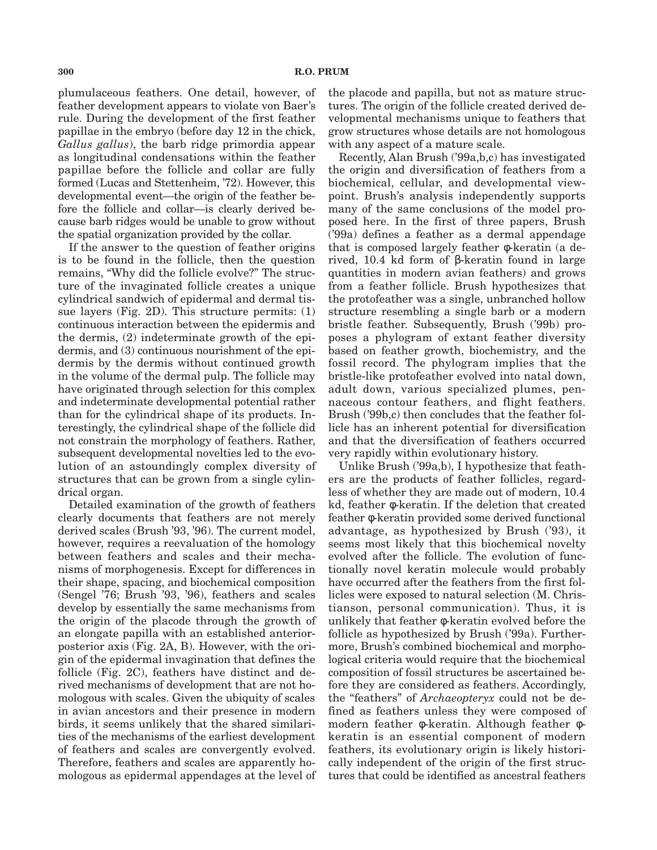plumulaceous feathers. One detail, however, of feather development appears to violate von Baer's rule. During the development of the first feather papillae in the embryo (before day 12 in the chick, *Gallus gallus*), the barb ridge primordia appear as longitudinal condensations within the feather papillae before the follicle and collar are fully formed (Lucas and Stettenheim, '72). However, this developmental event—the origin of the feather before the follicle and collar—is clearly derived because barb ridges would be unable to grow without the spatial organization provided by the collar.

If the answer to the question of feather origins is to be found in the follicle, then the question remains, "Why did the follicle evolve?" The structure of the invaginated follicle creates a unique cylindrical sandwich of epidermal and dermal tissue layers (Fig. 2D). This structure permits: (1) continuous interaction between the epidermis and the dermis, (2) indeterminate growth of the epidermis, and (3) continuous nourishment of the epidermis by the dermis without continued growth in the volume of the dermal pulp. The follicle may have originated through selection for this complex and indeterminate developmental potential rather than for the cylindrical shape of its products. Interestingly, the cylindrical shape of the follicle did not constrain the morphology of feathers. Rather, subsequent developmental novelties led to the evolution of an astoundingly complex diversity of structures that can be grown from a single cylindrical organ.

Detailed examination of the growth of feathers clearly documents that feathers are not merely derived scales (Brush '93, '96). The current model, however, requires a reevaluation of the homology between feathers and scales and their mechanisms of morphogenesis. Except for differences in their shape, spacing, and biochemical composition (Sengel '76; Brush '93, '96), feathers and scales develop by essentially the same mechanisms from the origin of the placode through the growth of an elongate papilla with an established anteriorposterior axis (Fig. 2A, B). However, with the origin of the epidermal invagination that defines the follicle (Fig. 2C), feathers have distinct and derived mechanisms of development that are not homologous with scales. Given the ubiquity of scales in avian ancestors and their presence in modern birds, it seems unlikely that the shared similarities of the mechanisms of the earliest development of feathers and scales are convergently evolved. Therefore, feathers and scales are apparently homologous as epidermal appendages at the level of the placode and papilla, but not as mature structures. The origin of the follicle created derived developmental mechanisms unique to feathers that grow structures whose details are not homologous with any aspect of a mature scale.

Recently, Alan Brush ('99a,b,c) has investigated the origin and diversification of feathers from a biochemical, cellular, and developmental viewpoint. Brush's analysis independently supports many of the same conclusions of the model proposed here. In the first of three papers, Brush ('99a) defines a feather as a dermal appendage that is composed largely feather φ-keratin (a derived, 10.4 kd form of β-keratin found in large quantities in modern avian feathers) and grows from a feather follicle. Brush hypothesizes that the protofeather was a single, unbranched hollow structure resembling a single barb or a modern bristle feather. Subsequently, Brush ('99b) proposes a phylogram of extant feather diversity based on feather growth, biochemistry, and the fossil record. The phylogram implies that the bristle-like protofeather evolved into natal down, adult down, various specialized plumes, pennaceous contour feathers, and flight feathers. Brush ('99b,c) then concludes that the feather follicle has an inherent potential for diversification and that the diversification of feathers occurred very rapidly within evolutionary history.

Unlike Brush ('99a,b), I hypothesize that feathers are the products of feather follicles, regardless of whether they are made out of modern, 10.4 kd, feather φ-keratin. If the deletion that created feather φ-keratin provided some derived functional advantage, as hypothesized by Brush ('93), it seems most likely that this biochemical novelty evolved after the follicle. The evolution of functionally novel keratin molecule would probably have occurred after the feathers from the first follicles were exposed to natural selection (M. Christianson, personal communication). Thus, it is unlikely that feather φ-keratin evolved before the follicle as hypothesized by Brush ('99a). Furthermore, Brush's combined biochemical and morphological criteria would require that the biochemical composition of fossil structures be ascertained before they are considered as feathers. Accordingly, the "feathers" of *Archaeopteryx* could not be defined as feathers unless they were composed of modern feather φ-keratin. Although feather φkeratin is an essential component of modern feathers, its evolutionary origin is likely historically independent of the origin of the first structures that could be identified as ancestral feathers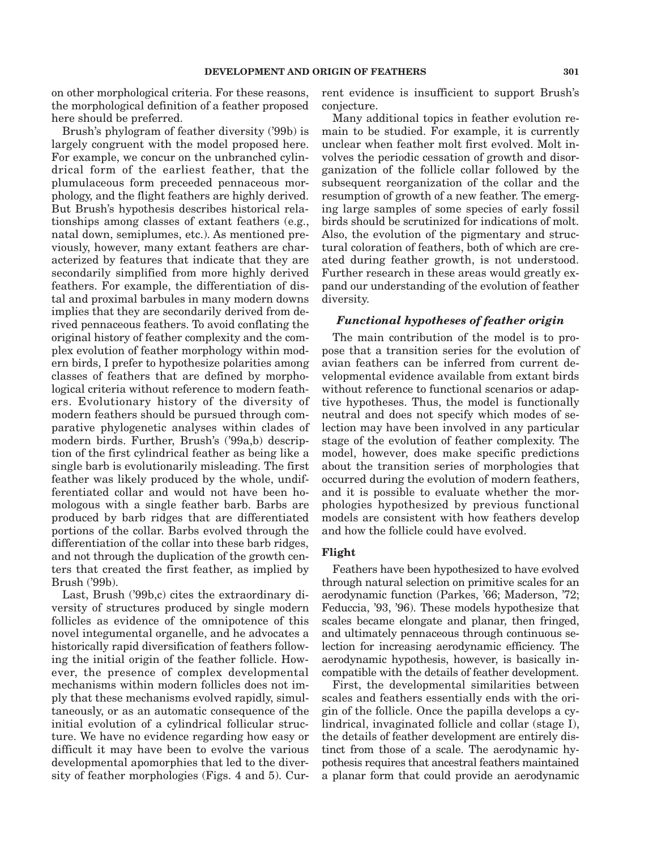on other morphological criteria. For these reasons, the morphological definition of a feather proposed here should be preferred.

Brush's phylogram of feather diversity ('99b) is largely congruent with the model proposed here. For example, we concur on the unbranched cylindrical form of the earliest feather, that the plumulaceous form preceeded pennaceous morphology, and the flight feathers are highly derived. But Brush's hypothesis describes historical relationships among classes of extant feathers (e.g., natal down, semiplumes, etc.). As mentioned previously, however, many extant feathers are characterized by features that indicate that they are secondarily simplified from more highly derived feathers. For example, the differentiation of distal and proximal barbules in many modern downs implies that they are secondarily derived from derived pennaceous feathers. To avoid conflating the original history of feather complexity and the complex evolution of feather morphology within modern birds, I prefer to hypothesize polarities among classes of feathers that are defined by morphological criteria without reference to modern feathers. Evolutionary history of the diversity of modern feathers should be pursued through comparative phylogenetic analyses within clades of modern birds. Further, Brush's ('99a,b) description of the first cylindrical feather as being like a single barb is evolutionarily misleading. The first feather was likely produced by the whole, undifferentiated collar and would not have been homologous with a single feather barb. Barbs are produced by barb ridges that are differentiated portions of the collar. Barbs evolved through the differentiation of the collar into these barb ridges, and not through the duplication of the growth centers that created the first feather, as implied by Brush ('99b).

Last, Brush ('99b,c) cites the extraordinary diversity of structures produced by single modern follicles as evidence of the omnipotence of this novel integumental organelle, and he advocates a historically rapid diversification of feathers following the initial origin of the feather follicle. However, the presence of complex developmental mechanisms within modern follicles does not imply that these mechanisms evolved rapidly, simultaneously, or as an automatic consequence of the initial evolution of a cylindrical follicular structure. We have no evidence regarding how easy or difficult it may have been to evolve the various developmental apomorphies that led to the diversity of feather morphologies (Figs. 4 and 5). Current evidence is insufficient to support Brush's conjecture.

Many additional topics in feather evolution remain to be studied. For example, it is currently unclear when feather molt first evolved. Molt involves the periodic cessation of growth and disorganization of the follicle collar followed by the subsequent reorganization of the collar and the resumption of growth of a new feather. The emerging large samples of some species of early fossil birds should be scrutinized for indications of molt. Also, the evolution of the pigmentary and structural coloration of feathers, both of which are created during feather growth, is not understood. Further research in these areas would greatly expand our understanding of the evolution of feather diversity.

#### *Functional hypotheses of feather origin*

The main contribution of the model is to propose that a transition series for the evolution of avian feathers can be inferred from current developmental evidence available from extant birds without reference to functional scenarios or adaptive hypotheses. Thus, the model is functionally neutral and does not specify which modes of selection may have been involved in any particular stage of the evolution of feather complexity. The model, however, does make specific predictions about the transition series of morphologies that occurred during the evolution of modern feathers, and it is possible to evaluate whether the morphologies hypothesized by previous functional models are consistent with how feathers develop and how the follicle could have evolved.

#### **Flight**

Feathers have been hypothesized to have evolved through natural selection on primitive scales for an aerodynamic function (Parkes, '66; Maderson, '72; Feduccia, '93, '96). These models hypothesize that scales became elongate and planar, then fringed, and ultimately pennaceous through continuous selection for increasing aerodynamic efficiency. The aerodynamic hypothesis, however, is basically incompatible with the details of feather development.

First, the developmental similarities between scales and feathers essentially ends with the origin of the follicle. Once the papilla develops a cylindrical, invaginated follicle and collar (stage I), the details of feather development are entirely distinct from those of a scale. The aerodynamic hypothesis requires that ancestral feathers maintained a planar form that could provide an aerodynamic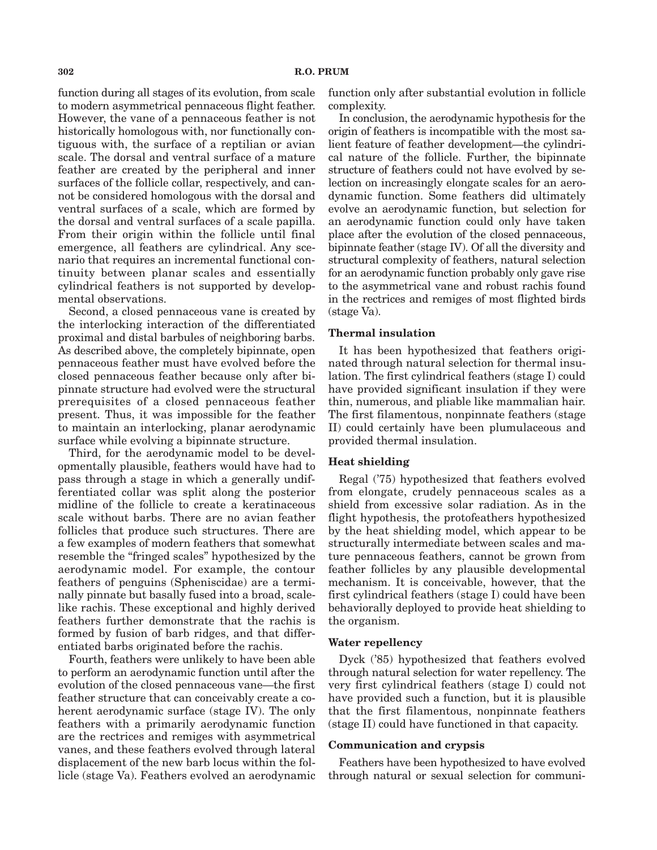function during all stages of its evolution, from scale to modern asymmetrical pennaceous flight feather. However, the vane of a pennaceous feather is not historically homologous with, nor functionally contiguous with, the surface of a reptilian or avian scale. The dorsal and ventral surface of a mature feather are created by the peripheral and inner surfaces of the follicle collar, respectively, and cannot be considered homologous with the dorsal and ventral surfaces of a scale, which are formed by the dorsal and ventral surfaces of a scale papilla. From their origin within the follicle until final emergence, all feathers are cylindrical. Any scenario that requires an incremental functional continuity between planar scales and essentially cylindrical feathers is not supported by developmental observations.

Second, a closed pennaceous vane is created by the interlocking interaction of the differentiated proximal and distal barbules of neighboring barbs. As described above, the completely bipinnate, open pennaceous feather must have evolved before the closed pennaceous feather because only after bipinnate structure had evolved were the structural prerequisites of a closed pennaceous feather present. Thus, it was impossible for the feather to maintain an interlocking, planar aerodynamic surface while evolving a bipinnate structure.

Third, for the aerodynamic model to be developmentally plausible, feathers would have had to pass through a stage in which a generally undifferentiated collar was split along the posterior midline of the follicle to create a keratinaceous scale without barbs. There are no avian feather follicles that produce such structures. There are a few examples of modern feathers that somewhat resemble the "fringed scales" hypothesized by the aerodynamic model. For example, the contour feathers of penguins (Spheniscidae) are a terminally pinnate but basally fused into a broad, scalelike rachis. These exceptional and highly derived feathers further demonstrate that the rachis is formed by fusion of barb ridges, and that differentiated barbs originated before the rachis.

Fourth, feathers were unlikely to have been able to perform an aerodynamic function until after the evolution of the closed pennaceous vane—the first feather structure that can conceivably create a coherent aerodynamic surface (stage IV). The only feathers with a primarily aerodynamic function are the rectrices and remiges with asymmetrical vanes, and these feathers evolved through lateral displacement of the new barb locus within the follicle (stage Va). Feathers evolved an aerodynamic function only after substantial evolution in follicle complexity.

In conclusion, the aerodynamic hypothesis for the origin of feathers is incompatible with the most salient feature of feather development—the cylindrical nature of the follicle. Further, the bipinnate structure of feathers could not have evolved by selection on increasingly elongate scales for an aerodynamic function. Some feathers did ultimately evolve an aerodynamic function, but selection for an aerodynamic function could only have taken place after the evolution of the closed pennaceous, bipinnate feather (stage IV). Of all the diversity and structural complexity of feathers, natural selection for an aerodynamic function probably only gave rise to the asymmetrical vane and robust rachis found in the rectrices and remiges of most flighted birds (stage Va).

#### **Thermal insulation**

It has been hypothesized that feathers originated through natural selection for thermal insulation. The first cylindrical feathers (stage I) could have provided significant insulation if they were thin, numerous, and pliable like mammalian hair. The first filamentous, nonpinnate feathers (stage II) could certainly have been plumulaceous and provided thermal insulation.

#### **Heat shielding**

Regal ('75) hypothesized that feathers evolved from elongate, crudely pennaceous scales as a shield from excessive solar radiation. As in the flight hypothesis, the protofeathers hypothesized by the heat shielding model, which appear to be structurally intermediate between scales and mature pennaceous feathers, cannot be grown from feather follicles by any plausible developmental mechanism. It is conceivable, however, that the first cylindrical feathers (stage I) could have been behaviorally deployed to provide heat shielding to the organism.

# **Water repellency**

Dyck ('85) hypothesized that feathers evolved through natural selection for water repellency. The very first cylindrical feathers (stage I) could not have provided such a function, but it is plausible that the first filamentous, nonpinnate feathers (stage II) could have functioned in that capacity.

#### **Communication and crypsis**

Feathers have been hypothesized to have evolved through natural or sexual selection for communi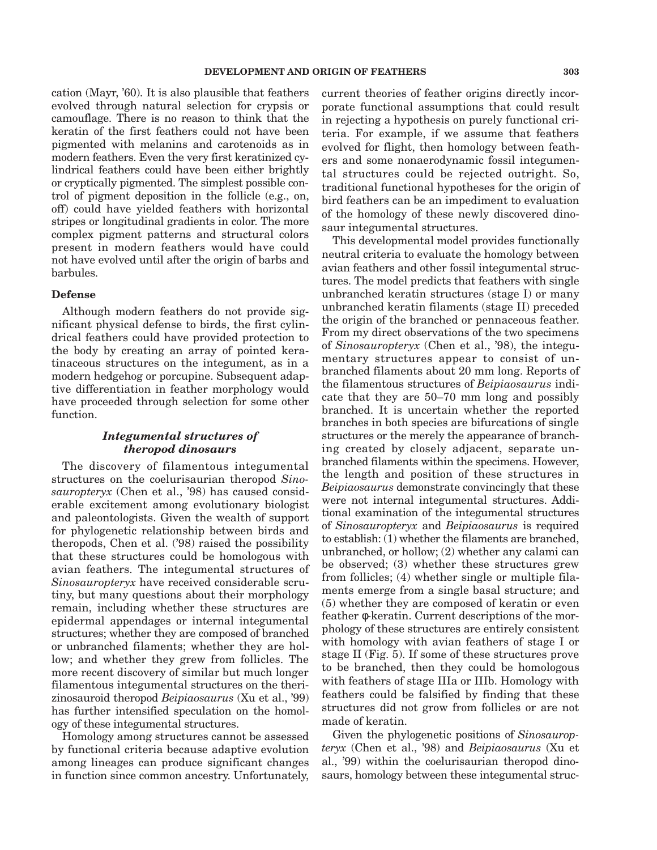cation (Mayr, '60). It is also plausible that feathers evolved through natural selection for crypsis or camouflage. There is no reason to think that the keratin of the first feathers could not have been pigmented with melanins and carotenoids as in modern feathers. Even the very first keratinized cylindrical feathers could have been either brightly or cryptically pigmented. The simplest possible control of pigment deposition in the follicle (e.g., on, off) could have yielded feathers with horizontal stripes or longitudinal gradients in color. The more complex pigment patterns and structural colors present in modern feathers would have could not have evolved until after the origin of barbs and barbules.

#### **Defense**

Although modern feathers do not provide significant physical defense to birds, the first cylindrical feathers could have provided protection to the body by creating an array of pointed keratinaceous structures on the integument, as in a modern hedgehog or porcupine. Subsequent adaptive differentiation in feather morphology would have proceeded through selection for some other function.

# *Integumental structures of theropod dinosaurs*

The discovery of filamentous integumental structures on the coelurisaurian theropod *Sinosauropteryx* (Chen et al., '98) has caused considerable excitement among evolutionary biologist and paleontologists. Given the wealth of support for phylogenetic relationship between birds and theropods, Chen et al. ('98) raised the possibility that these structures could be homologous with avian feathers. The integumental structures of *Sinosauropteryx* have received considerable scrutiny, but many questions about their morphology remain, including whether these structures are epidermal appendages or internal integumental structures; whether they are composed of branched or unbranched filaments; whether they are hollow; and whether they grew from follicles. The more recent discovery of similar but much longer filamentous integumental structures on the therizinosauroid theropod *Beipiaosaurus* (Xu et al., '99) has further intensified speculation on the homology of these integumental structures.

Homology among structures cannot be assessed by functional criteria because adaptive evolution among lineages can produce significant changes in function since common ancestry. Unfortunately, current theories of feather origins directly incorporate functional assumptions that could result in rejecting a hypothesis on purely functional criteria. For example, if we assume that feathers evolved for flight, then homology between feathers and some nonaerodynamic fossil integumental structures could be rejected outright. So, traditional functional hypotheses for the origin of bird feathers can be an impediment to evaluation of the homology of these newly discovered dinosaur integumental structures.

This developmental model provides functionally neutral criteria to evaluate the homology between avian feathers and other fossil integumental structures. The model predicts that feathers with single unbranched keratin structures (stage I) or many unbranched keratin filaments (stage II) preceded the origin of the branched or pennaceous feather. From my direct observations of the two specimens of *Sinosauropteryx* (Chen et al., '98), the integumentary structures appear to consist of unbranched filaments about 20 mm long. Reports of the filamentous structures of *Beipiaosaurus* indicate that they are 50–70 mm long and possibly branched. It is uncertain whether the reported branches in both species are bifurcations of single structures or the merely the appearance of branching created by closely adjacent, separate unbranched filaments within the specimens. However, the length and position of these structures in *Beipiaosaurus* demonstrate convincingly that these were not internal integumental structures. Additional examination of the integumental structures of *Sinosauropteryx* and *Beipiaosaurus* is required to establish: (1) whether the filaments are branched, unbranched, or hollow; (2) whether any calami can be observed; (3) whether these structures grew from follicles; (4) whether single or multiple filaments emerge from a single basal structure; and (5) whether they are composed of keratin or even feather φ-keratin. Current descriptions of the morphology of these structures are entirely consistent with homology with avian feathers of stage I or stage II (Fig. 5). If some of these structures prove to be branched, then they could be homologous with feathers of stage IIIa or IIIb. Homology with feathers could be falsified by finding that these structures did not grow from follicles or are not made of keratin.

Given the phylogenetic positions of *Sinosauropteryx* (Chen et al., '98) and *Beipiaosaurus* (Xu et al., '99) within the coelurisaurian theropod dinosaurs, homology between these integumental struc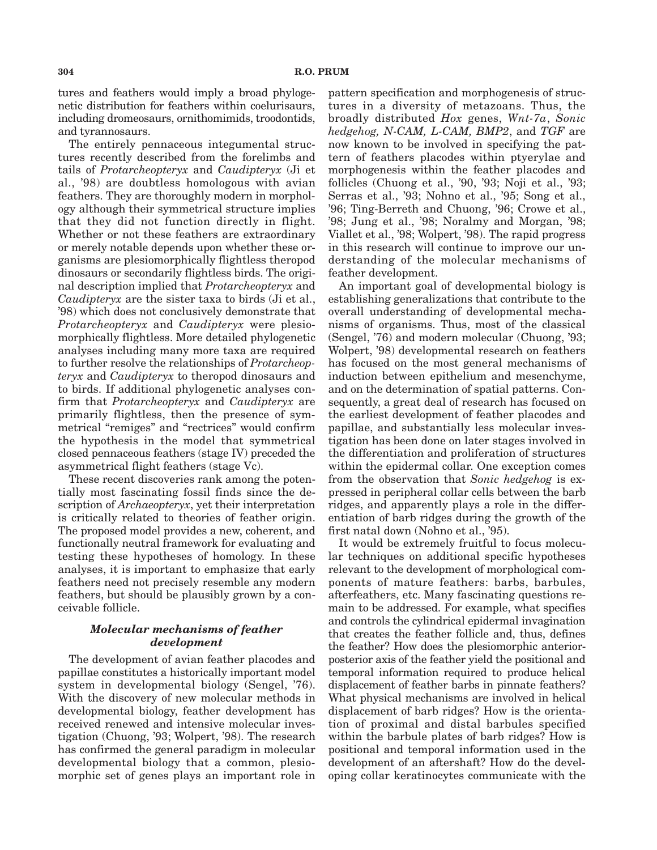tures and feathers would imply a broad phylogenetic distribution for feathers within coelurisaurs, including dromeosaurs, ornithomimids, troodontids, and tyrannosaurs.

The entirely pennaceous integumental structures recently described from the forelimbs and tails of *Protarcheopteryx* and *Caudipteryx* (Ji et al., '98) are doubtless homologous with avian feathers. They are thoroughly modern in morphology although their symmetrical structure implies that they did not function directly in flight. Whether or not these feathers are extraordinary or merely notable depends upon whether these organisms are plesiomorphically flightless theropod dinosaurs or secondarily flightless birds. The original description implied that *Protarcheopteryx* and *Caudipteryx* are the sister taxa to birds (Ji et al., '98) which does not conclusively demonstrate that *Protarcheopteryx* and *Caudipteryx* were plesiomorphically flightless. More detailed phylogenetic analyses including many more taxa are required to further resolve the relationships of *Protarcheopteryx* and *Caudipteryx* to theropod dinosaurs and to birds. If additional phylogenetic analyses confirm that *Protarcheopteryx* and *Caudipteryx* are primarily flightless, then the presence of symmetrical "remiges" and "rectrices" would confirm the hypothesis in the model that symmetrical closed pennaceous feathers (stage IV) preceded the asymmetrical flight feathers (stage Vc).

These recent discoveries rank among the potentially most fascinating fossil finds since the description of *Archaeopteryx*, yet their interpretation is critically related to theories of feather origin. The proposed model provides a new, coherent, and functionally neutral framework for evaluating and testing these hypotheses of homology. In these analyses, it is important to emphasize that early feathers need not precisely resemble any modern feathers, but should be plausibly grown by a conceivable follicle.

# *Molecular mechanisms of feather development*

The development of avian feather placodes and papillae constitutes a historically important model system in developmental biology (Sengel, '76). With the discovery of new molecular methods in developmental biology, feather development has received renewed and intensive molecular investigation (Chuong, '93; Wolpert, '98). The research has confirmed the general paradigm in molecular developmental biology that a common, plesiomorphic set of genes plays an important role in pattern specification and morphogenesis of structures in a diversity of metazoans. Thus, the broadly distributed *Hox* genes, *Wnt-7a*, *Sonic hedgehog, N-CAM, L-CAM, BMP2*, and *TGF* are now known to be involved in specifying the pattern of feathers placodes within ptyerylae and morphogenesis within the feather placodes and follicles (Chuong et al., '90, '93; Noji et al., '93; Serras et al., '93; Nohno et al., '95; Song et al., '96; Ting-Berreth and Chuong, '96; Crowe et al., '98; Jung et al., '98; Noralmy and Morgan, '98; Viallet et al., '98; Wolpert, '98). The rapid progress in this research will continue to improve our understanding of the molecular mechanisms of feather development.

An important goal of developmental biology is establishing generalizations that contribute to the overall understanding of developmental mechanisms of organisms. Thus, most of the classical (Sengel, '76) and modern molecular (Chuong, '93; Wolpert, '98) developmental research on feathers has focused on the most general mechanisms of induction between epithelium and mesenchyme, and on the determination of spatial patterns. Consequently, a great deal of research has focused on the earliest development of feather placodes and papillae, and substantially less molecular investigation has been done on later stages involved in the differentiation and proliferation of structures within the epidermal collar. One exception comes from the observation that *Sonic hedgehog* is expressed in peripheral collar cells between the barb ridges, and apparently plays a role in the differentiation of barb ridges during the growth of the first natal down (Nohno et al., '95).

It would be extremely fruitful to focus molecular techniques on additional specific hypotheses relevant to the development of morphological components of mature feathers: barbs, barbules, afterfeathers, etc. Many fascinating questions remain to be addressed. For example, what specifies and controls the cylindrical epidermal invagination that creates the feather follicle and, thus, defines the feather? How does the plesiomorphic anteriorposterior axis of the feather yield the positional and temporal information required to produce helical displacement of feather barbs in pinnate feathers? What physical mechanisms are involved in helical displacement of barb ridges? How is the orientation of proximal and distal barbules specified within the barbule plates of barb ridges? How is positional and temporal information used in the development of an aftershaft? How do the developing collar keratinocytes communicate with the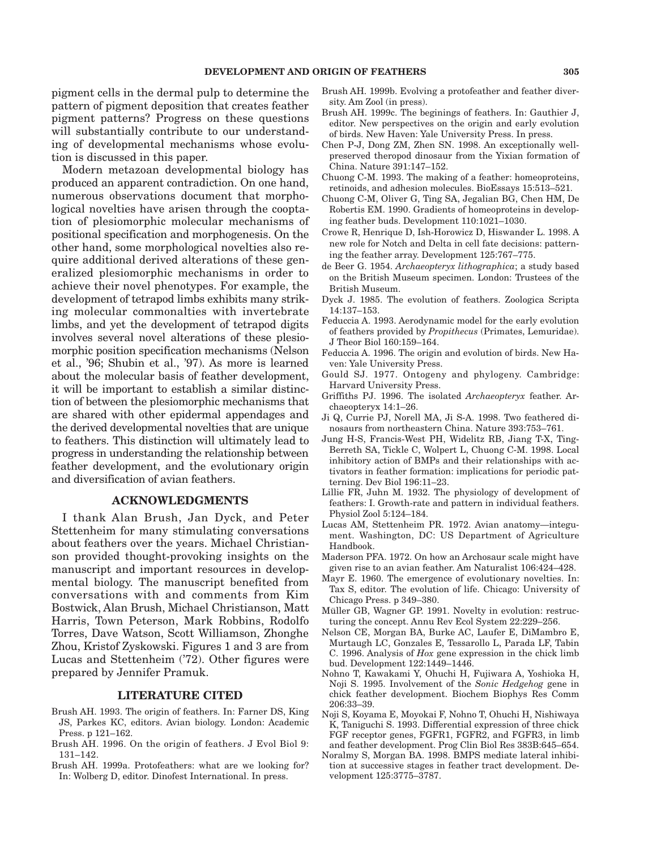pigment cells in the dermal pulp to determine the pattern of pigment deposition that creates feather pigment patterns? Progress on these questions will substantially contribute to our understanding of developmental mechanisms whose evolution is discussed in this paper.

Modern metazoan developmental biology has produced an apparent contradiction. On one hand, numerous observations document that morphological novelties have arisen through the cooptation of plesiomorphic molecular mechanisms of positional specification and morphogenesis. On the other hand, some morphological novelties also require additional derived alterations of these generalized plesiomorphic mechanisms in order to achieve their novel phenotypes. For example, the development of tetrapod limbs exhibits many striking molecular commonalties with invertebrate limbs, and yet the development of tetrapod digits involves several novel alterations of these plesiomorphic position specification mechanisms (Nelson et al., '96; Shubin et al., '97). As more is learned about the molecular basis of feather development, it will be important to establish a similar distinction of between the plesiomorphic mechanisms that are shared with other epidermal appendages and the derived developmental novelties that are unique to feathers. This distinction will ultimately lead to progress in understanding the relationship between feather development, and the evolutionary origin and diversification of avian feathers.

### **ACKNOWLEDGMENTS**

I thank Alan Brush, Jan Dyck, and Peter Stettenheim for many stimulating conversations about feathers over the years. Michael Christianson provided thought-provoking insights on the manuscript and important resources in developmental biology. The manuscript benefited from conversations with and comments from Kim Bostwick, Alan Brush, Michael Christianson, Matt Harris, Town Peterson, Mark Robbins, Rodolfo Torres, Dave Watson, Scott Williamson, Zhonghe Zhou, Kristof Zyskowski. Figures 1 and 3 are from Lucas and Stettenheim ('72). Other figures were prepared by Jennifer Pramuk.

#### **LITERATURE CITED**

- Brush AH. 1993. The origin of feathers. In: Farner DS, King JS, Parkes KC, editors. Avian biology. London: Academic Press. p 121–162.
- Brush AH. 1996. On the origin of feathers. J Evol Biol 9: 131–142.
- Brush AH. 1999a. Protofeathers: what are we looking for? In: Wolberg D, editor. Dinofest International. In press.
- Brush AH. 1999b. Evolving a protofeather and feather diversity. Am Zool (in press).
- Brush AH. 1999c. The beginings of feathers. In: Gauthier J, editor. New perspectives on the origin and early evolution of birds. New Haven: Yale University Press. In press.
- Chen P-J, Dong ZM, Zhen SN. 1998. An exceptionally wellpreserved theropod dinosaur from the Yixian formation of China. Nature 391:147–152.
- Chuong C-M. 1993. The making of a feather: homeoproteins, retinoids, and adhesion molecules. BioEssays 15:513–521.
- Chuong C-M, Oliver G, Ting SA, Jegalian BG, Chen HM, De Robertis EM. 1990. Gradients of homeoproteins in developing feather buds. Development 110:1021–1030.
- Crowe R, Henrique D, Ish-Horowicz D, Hiswander L. 1998. A new role for Notch and Delta in cell fate decisions: patterning the feather array. Development 125:767–775.
- de Beer G. 1954. *Archaeopteryx lithographica*; a study based on the British Museum specimen. London: Trustees of the British Museum.
- Dyck J. 1985. The evolution of feathers. Zoologica Scripta 14:137–153.
- Feduccia A. 1993. Aerodynamic model for the early evolution of feathers provided by *Propithecus* (Primates, Lemuridae). J Theor Biol 160:159–164.
- Feduccia A. 1996. The origin and evolution of birds. New Haven: Yale University Press.
- Gould SJ. 1977. Ontogeny and phylogeny. Cambridge: Harvard University Press.
- Griffiths PJ. 1996. The isolated *Archaeopteryx* feather. Archaeopteryx 14:1–26.
- Ji Q, Currie PJ, Norell MA, Ji S-A. 1998. Two feathered dinosaurs from northeastern China. Nature 393:753–761.
- Jung H-S, Francis-West PH, Widelitz RB, Jiang T-X, Ting-Berreth SA, Tickle C, Wolpert L, Chuong C-M. 1998. Local inhibitory action of BMPs and their relationships with activators in feather formation: implications for periodic patterning. Dev Biol 196:11–23.
- Lillie FR, Juhn M. 1932. The physiology of development of feathers: I. Growth-rate and pattern in individual feathers. Physiol Zool 5:124–184.
- Lucas AM, Stettenheim PR. 1972. Avian anatomy—integument. Washington, DC: US Department of Agriculture Handbook.
- Maderson PFA. 1972. On how an Archosaur scale might have given rise to an avian feather. Am Naturalist 106:424–428.
- Mayr E. 1960. The emergence of evolutionary novelties. In: Tax S, editor. The evolution of life. Chicago: University of Chicago Press. p 349–380.
- Müller GB, Wagner GP. 1991. Novelty in evolution: restructuring the concept. Annu Rev Ecol System 22:229–256.
- Nelson CE, Morgan BA, Burke AC, Laufer E, DiMambro E, Murtaugh LC, Gonzales E, Tessarollo L, Parada LF, Tabin C. 1996. Analysis of *Hox* gene expression in the chick limb bud. Development 122:1449–1446.
- Nohno T, Kawakami Y, Ohuchi H, Fujiwara A, Yoshioka H, Noji S. 1995. Involvement of the *Sonic Hedgehog* gene in chick feather development. Biochem Biophys Res Comm 206:33–39.
- Noji S, Koyama E, Moyokai F, Nohno T, Ohuchi H, Nishiwaya K, Taniguchi S. 1993. Differential expression of three chick FGF receptor genes, FGFR1, FGFR2, and FGFR3, in limb and feather development. Prog Clin Biol Res 383B:645–654.
- Noralmy S, Morgan BA. 1998. BMPS mediate lateral inhibition at successive stages in feather tract development. Development 125:3775–3787.